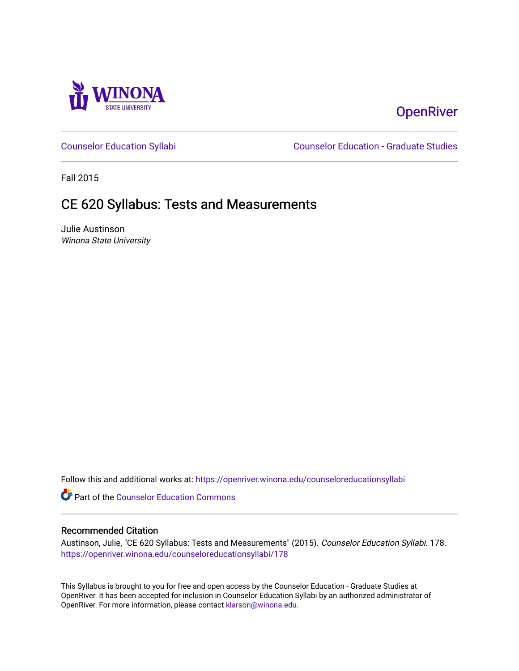

# **OpenRiver**

[Counselor Education Syllabi](https://openriver.winona.edu/counseloreducationsyllabi) [Counselor Education - Graduate Studies](https://openriver.winona.edu/counseloreducation) 

Fall 2015

# CE 620 Syllabus: Tests and Measurements

Julie Austinson Winona State University

Follow this and additional works at: [https://openriver.winona.edu/counseloreducationsyllabi](https://openriver.winona.edu/counseloreducationsyllabi?utm_source=openriver.winona.edu%2Fcounseloreducationsyllabi%2F178&utm_medium=PDF&utm_campaign=PDFCoverPages)

Part of the [Counselor Education Commons](http://network.bepress.com/hgg/discipline/1278?utm_source=openriver.winona.edu%2Fcounseloreducationsyllabi%2F178&utm_medium=PDF&utm_campaign=PDFCoverPages) 

#### Recommended Citation

Austinson, Julie, "CE 620 Syllabus: Tests and Measurements" (2015). Counselor Education Syllabi. 178. [https://openriver.winona.edu/counseloreducationsyllabi/178](https://openriver.winona.edu/counseloreducationsyllabi/178?utm_source=openriver.winona.edu%2Fcounseloreducationsyllabi%2F178&utm_medium=PDF&utm_campaign=PDFCoverPages)

This Syllabus is brought to you for free and open access by the Counselor Education - Graduate Studies at OpenRiver. It has been accepted for inclusion in Counselor Education Syllabi by an authorized administrator of OpenRiver. For more information, please contact [klarson@winona.edu](mailto:klarson@winona.edu).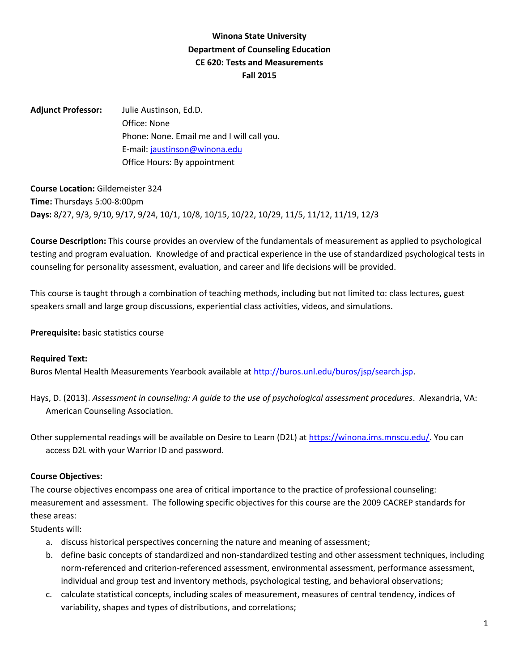# **Winona State University Department of Counseling Education CE 620: Tests and Measurements Fall 2015**

**Adjunct Professor:** Julie Austinson, Ed.D. Office: None Phone: None. Email me and I will call you. E-mail: [jaustinson@winona.edu](mailto:jaustinson@winona.edu) Office Hours: By appointment

**Course Location:** Gildemeister 324 **Time:** Thursdays 5:00-8:00pm **Days:** 8/27, 9/3, 9/10, 9/17, 9/24, 10/1, 10/8, 10/15, 10/22, 10/29, 11/5, 11/12, 11/19, 12/3

**Course Description:** This course provides an overview of the fundamentals of measurement as applied to psychological testing and program evaluation. Knowledge of and practical experience in the use of standardized psychological tests in counseling for personality assessment, evaluation, and career and life decisions will be provided.

This course is taught through a combination of teaching methods, including but not limited to: class lectures, guest speakers small and large group discussions, experiential class activities, videos, and simulations.

**Prerequisite:** basic statistics course

#### **Required Text:**

Buros Mental Health Measurements Yearbook available at [http://buros.unl.edu/buros/jsp/search.jsp.](http://buros.unl.edu/buros/jsp/search.jsp)

Hays, D. (2013). *Assessment in counseling: A guide to the use of psychological assessment procedures*. Alexandria, VA: American Counseling Association.

Other supplemental readings will be available on Desire to Learn (D2L) at [https://winona.ims.mnscu.edu/.](https://winona.ims.mnscu.edu/) You can access D2L with your Warrior ID and password.

#### **Course Objectives:**

The course objectives encompass one area of critical importance to the practice of professional counseling: measurement and assessment. The following specific objectives for this course are the 2009 CACREP standards for these areas:

Students will:

- a. discuss historical perspectives concerning the nature and meaning of assessment;
- b. define basic concepts of standardized and non-standardized testing and other assessment techniques, including norm-referenced and criterion-referenced assessment, environmental assessment, performance assessment, individual and group test and inventory methods, psychological testing, and behavioral observations;
- c. calculate statistical concepts, including scales of measurement, measures of central tendency, indices of variability, shapes and types of distributions, and correlations;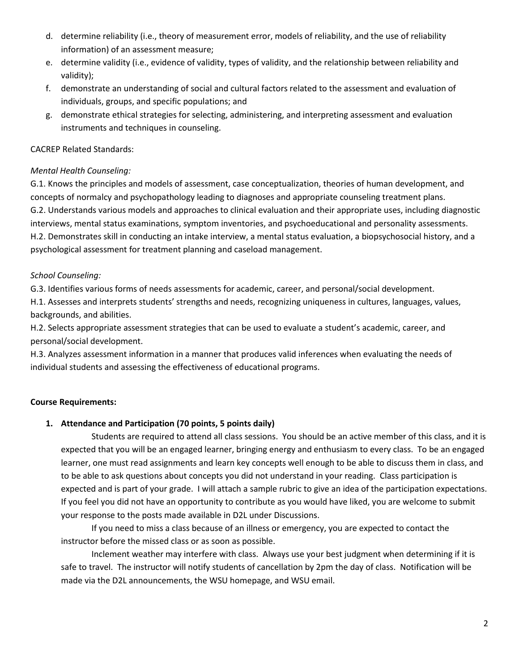- d. determine reliability (i.e., theory of measurement error, models of reliability, and the use of reliability information) of an assessment measure;
- e. determine validity (i.e., evidence of validity, types of validity, and the relationship between reliability and validity);
- f. demonstrate an understanding of social and cultural factors related to the assessment and evaluation of individuals, groups, and specific populations; and
- g. demonstrate ethical strategies for selecting, administering, and interpreting assessment and evaluation instruments and techniques in counseling.

### CACREP Related Standards:

## *Mental Health Counseling:*

G.1. Knows the principles and models of assessment, case conceptualization, theories of human development, and concepts of normalcy and psychopathology leading to diagnoses and appropriate counseling treatment plans. G.2. Understands various models and approaches to clinical evaluation and their appropriate uses, including diagnostic interviews, mental status examinations, symptom inventories, and psychoeducational and personality assessments. H.2. Demonstrates skill in conducting an intake interview, a mental status evaluation, a biopsychosocial history, and a psychological assessment for treatment planning and caseload management.

## *School Counseling:*

G.3. Identifies various forms of needs assessments for academic, career, and personal/social development.

H.1. Assesses and interprets students' strengths and needs, recognizing uniqueness in cultures, languages, values, backgrounds, and abilities.

H.2. Selects appropriate assessment strategies that can be used to evaluate a student's academic, career, and personal/social development.

H.3. Analyzes assessment information in a manner that produces valid inferences when evaluating the needs of individual students and assessing the effectiveness of educational programs.

# **Course Requirements:**

# **1. Attendance and Participation (70 points, 5 points daily)**

Students are required to attend all class sessions. You should be an active member of this class, and it is expected that you will be an engaged learner, bringing energy and enthusiasm to every class. To be an engaged learner, one must read assignments and learn key concepts well enough to be able to discuss them in class, and to be able to ask questions about concepts you did not understand in your reading. Class participation is expected and is part of your grade. I will attach a sample rubric to give an idea of the participation expectations. If you feel you did not have an opportunity to contribute as you would have liked, you are welcome to submit your response to the posts made available in D2L under Discussions.

If you need to miss a class because of an illness or emergency, you are expected to contact the instructor before the missed class or as soon as possible.

Inclement weather may interfere with class. Always use your best judgment when determining if it is safe to travel. The instructor will notify students of cancellation by 2pm the day of class. Notification will be made via the D2L announcements, the WSU homepage, and WSU email.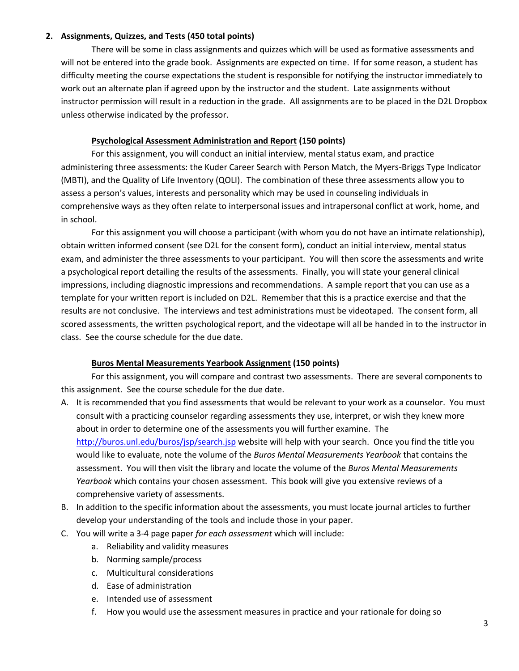#### **2. Assignments, Quizzes, and Tests (450 total points)**

There will be some in class assignments and quizzes which will be used as formative assessments and will not be entered into the grade book. Assignments are expected on time. If for some reason, a student has difficulty meeting the course expectations the student is responsible for notifying the instructor immediately to work out an alternate plan if agreed upon by the instructor and the student. Late assignments without instructor permission will result in a reduction in the grade. All assignments are to be placed in the D2L Dropbox unless otherwise indicated by the professor.

#### **Psychological Assessment Administration and Report (150 points)**

For this assignment, you will conduct an initial interview, mental status exam, and practice administering three assessments: the Kuder Career Search with Person Match, the Myers-Briggs Type Indicator (MBTI), and the Quality of Life Inventory (QOLI). The combination of these three assessments allow you to assess a person's values, interests and personality which may be used in counseling individuals in comprehensive ways as they often relate to interpersonal issues and intrapersonal conflict at work, home, and in school.

For this assignment you will choose a participant (with whom you do not have an intimate relationship), obtain written informed consent (see D2L for the consent form), conduct an initial interview, mental status exam, and administer the three assessments to your participant. You will then score the assessments and write a psychological report detailing the results of the assessments. Finally, you will state your general clinical impressions, including diagnostic impressions and recommendations. A sample report that you can use as a template for your written report is included on D2L. Remember that this is a practice exercise and that the results are not conclusive. The interviews and test administrations must be videotaped. The consent form, all scored assessments, the written psychological report, and the videotape will all be handed in to the instructor in class. See the course schedule for the due date.

#### **Buros Mental Measurements Yearbook Assignment (150 points)**

For this assignment, you will compare and contrast two assessments. There are several components to this assignment. See the course schedule for the due date.

- A. It is recommended that you find assessments that would be relevant to your work as a counselor. You must consult with a practicing counselor regarding assessments they use, interpret, or wish they knew more about in order to determine one of the assessments you will further examine. The <http://buros.unl.edu/buros/jsp/search.jsp> website will help with your search. Once you find the title you would like to evaluate, note the volume of the *Buros Mental Measurements Yearbook* that contains the assessment. You will then visit the library and locate the volume of the *Buros Mental Measurements Yearbook* which contains your chosen assessment. This book will give you extensive reviews of a comprehensive variety of assessments.
- B. In addition to the specific information about the assessments, you must locate journal articles to further develop your understanding of the tools and include those in your paper.
- C. You will write a 3-4 page paper *for each assessment* which will include:
	- a. Reliability and validity measures
	- b. Norming sample/process
	- c. Multicultural considerations
	- d. Ease of administration
	- e. Intended use of assessment
	- f. How you would use the assessment measures in practice and your rationale for doing so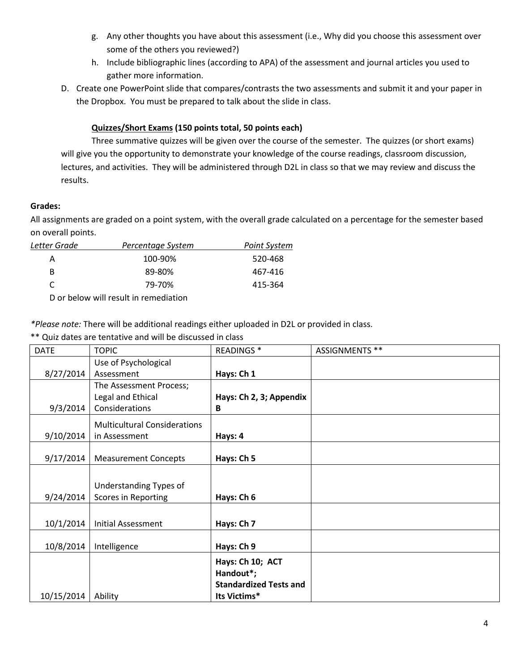- g. Any other thoughts you have about this assessment (i.e., Why did you choose this assessment over some of the others you reviewed?)
- h. Include bibliographic lines (according to APA) of the assessment and journal articles you used to gather more information.
- D. Create one PowerPoint slide that compares/contrasts the two assessments and submit it and your paper in the Dropbox. You must be prepared to talk about the slide in class.

# **Quizzes/Short Exams (150 points total, 50 points each)**

Three summative quizzes will be given over the course of the semester. The quizzes (or short exams) will give you the opportunity to demonstrate your knowledge of the course readings, classroom discussion, lectures, and activities. They will be administered through D2L in class so that we may review and discuss the results.

## **Grades:**

All assignments are graded on a point system, with the overall grade calculated on a percentage for the semester based on overall points.

| Letter Grade | Percentage System | Point System |
|--------------|-------------------|--------------|
| А            | 100-90%           | 520-468      |
| В            | 89-80%            | 467-416      |
| C            | 79-70%            | 415-364      |
|              |                   |              |

D or below will result in remediation

*\*Please note:* There will be additional readings either uploaded in D2L or provided in class.

\*\* Quiz dates are tentative and will be discussed in class

| <b>DATE</b> | <b>TOPIC</b>                        | <b>READINGS*</b>              | ASSIGNMENTS ** |
|-------------|-------------------------------------|-------------------------------|----------------|
|             | Use of Psychological                |                               |                |
| 8/27/2014   | Assessment                          | Hays: Ch 1                    |                |
|             | The Assessment Process;             |                               |                |
|             | Legal and Ethical                   | Hays: Ch 2, 3; Appendix       |                |
| 9/3/2014    | Considerations                      | B                             |                |
|             | <b>Multicultural Considerations</b> |                               |                |
| 9/10/2014   | in Assessment                       | Hays: 4                       |                |
|             |                                     |                               |                |
| 9/17/2014   | <b>Measurement Concepts</b>         | Hays: Ch 5                    |                |
|             |                                     |                               |                |
|             | Understanding Types of              |                               |                |
| 9/24/2014   | Scores in Reporting                 | Hays: Ch 6                    |                |
|             |                                     |                               |                |
| 10/1/2014   | <b>Initial Assessment</b>           | Hays: Ch 7                    |                |
|             |                                     |                               |                |
| 10/8/2014   | Intelligence                        | Hays: Ch 9                    |                |
|             |                                     | Hays: Ch 10; ACT              |                |
|             |                                     | Handout*;                     |                |
|             |                                     | <b>Standardized Tests and</b> |                |
| 10/15/2014  | Ability                             | Its Victims*                  |                |